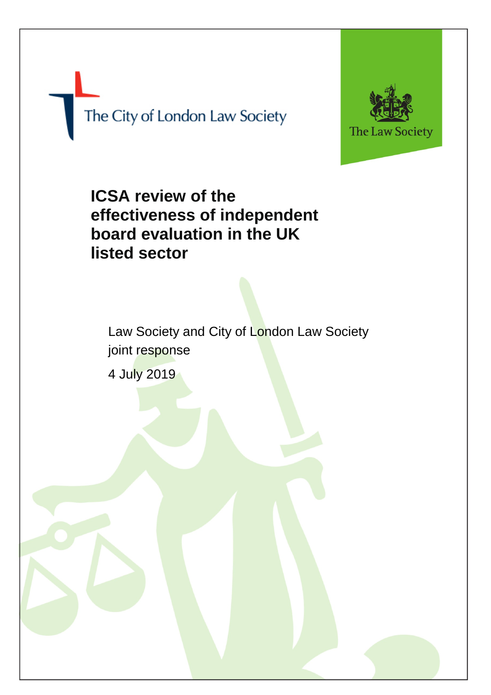The City of London Law Society



# **ICSA review of the effectiveness of independent board evaluation in the UK listed sector**

Law Society and City of London Law Society joint response

4 July 2019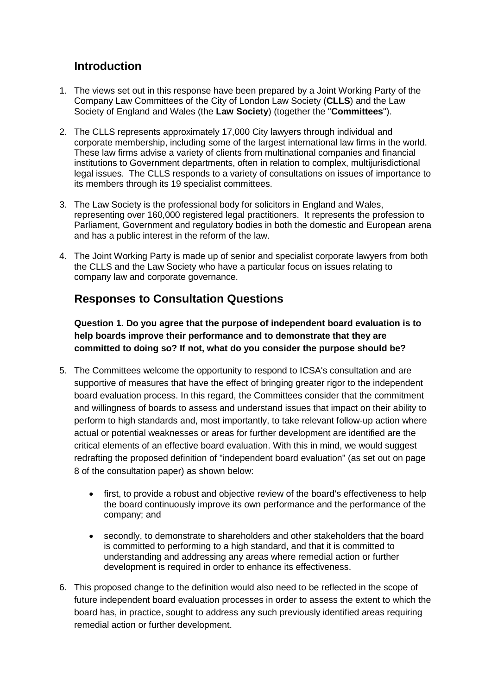# **Introduction**

- 1. The views set out in this response have been prepared by a Joint Working Party of the Company Law Committees of the City of London Law Society (**CLLS**) and the Law Society of England and Wales (the **Law Society**) (together the "**Committees**").
- 2. The CLLS represents approximately 17,000 City lawyers through individual and corporate membership, including some of the largest international law firms in the world. These law firms advise a variety of clients from multinational companies and financial institutions to Government departments, often in relation to complex, multijurisdictional legal issues. The CLLS responds to a variety of consultations on issues of importance to its members through its 19 specialist committees.
- 3. The Law Society is the professional body for solicitors in England and Wales, representing over 160,000 registered legal practitioners. It represents the profession to Parliament, Government and regulatory bodies in both the domestic and European arena and has a public interest in the reform of the law.
- 4. The Joint Working Party is made up of senior and specialist corporate lawyers from both the CLLS and the Law Society who have a particular focus on issues relating to company law and corporate governance.

# **Responses to Consultation Questions**

**Question 1. Do you agree that the purpose of independent board evaluation is to help boards improve their performance and to demonstrate that they are committed to doing so? If not, what do you consider the purpose should be?**

- 5. The Committees welcome the opportunity to respond to ICSA's consultation and are supportive of measures that have the effect of bringing greater rigor to the independent board evaluation process. In this regard, the Committees consider that the commitment and willingness of boards to assess and understand issues that impact on their ability to perform to high standards and, most importantly, to take relevant follow-up action where actual or potential weaknesses or areas for further development are identified are the critical elements of an effective board evaluation. With this in mind, we would suggest redrafting the proposed definition of "independent board evaluation" (as set out on page 8 of the consultation paper) as shown below:
	- first, to provide a robust and objective review of the board's effectiveness to help the board continuously improve its own performance and the performance of the company; and
	- secondly, to demonstrate to shareholders and other stakeholders that the board is committed to performing to a high standard, and that it is committed to understanding and addressing any areas where remedial action or further development is required in order to enhance its effectiveness.
- 6. This proposed change to the definition would also need to be reflected in the scope of future independent board evaluation processes in order to assess the extent to which the board has, in practice, sought to address any such previously identified areas requiring remedial action or further development.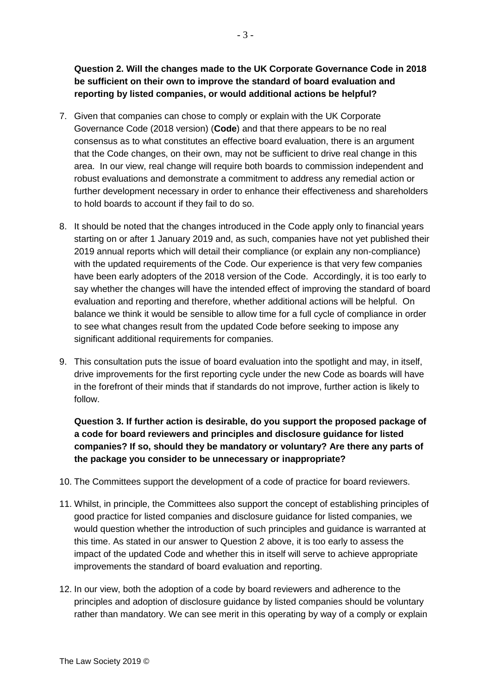**Question 2. Will the changes made to the UK Corporate Governance Code in 2018 be sufficient on their own to improve the standard of board evaluation and reporting by listed companies, or would additional actions be helpful?**

- 7. Given that companies can chose to comply or explain with the UK Corporate Governance Code (2018 version) (**Code**) and that there appears to be no real consensus as to what constitutes an effective board evaluation, there is an argument that the Code changes, on their own, may not be sufficient to drive real change in this area. In our view, real change will require both boards to commission independent and robust evaluations and demonstrate a commitment to address any remedial action or further development necessary in order to enhance their effectiveness and shareholders to hold boards to account if they fail to do so.
- 8. It should be noted that the changes introduced in the Code apply only to financial years starting on or after 1 January 2019 and, as such, companies have not yet published their 2019 annual reports which will detail their compliance (or explain any non-compliance) with the updated requirements of the Code. Our experience is that very few companies have been early adopters of the 2018 version of the Code. Accordingly, it is too early to say whether the changes will have the intended effect of improving the standard of board evaluation and reporting and therefore, whether additional actions will be helpful. On balance we think it would be sensible to allow time for a full cycle of compliance in order to see what changes result from the updated Code before seeking to impose any significant additional requirements for companies.
- 9. This consultation puts the issue of board evaluation into the spotlight and may, in itself, drive improvements for the first reporting cycle under the new Code as boards will have in the forefront of their minds that if standards do not improve, further action is likely to follow.

**Question 3. If further action is desirable, do you support the proposed package of a code for board reviewers and principles and disclosure guidance for listed companies? If so, should they be mandatory or voluntary? Are there any parts of the package you consider to be unnecessary or inappropriate?** 

- 10. The Committees support the development of a code of practice for board reviewers.
- 11. Whilst, in principle, the Committees also support the concept of establishing principles of good practice for listed companies and disclosure guidance for listed companies, we would question whether the introduction of such principles and guidance is warranted at this time. As stated in our answer to Question 2 above, it is too early to assess the impact of the updated Code and whether this in itself will serve to achieve appropriate improvements the standard of board evaluation and reporting.
- 12. In our view, both the adoption of a code by board reviewers and adherence to the principles and adoption of disclosure guidance by listed companies should be voluntary rather than mandatory. We can see merit in this operating by way of a comply or explain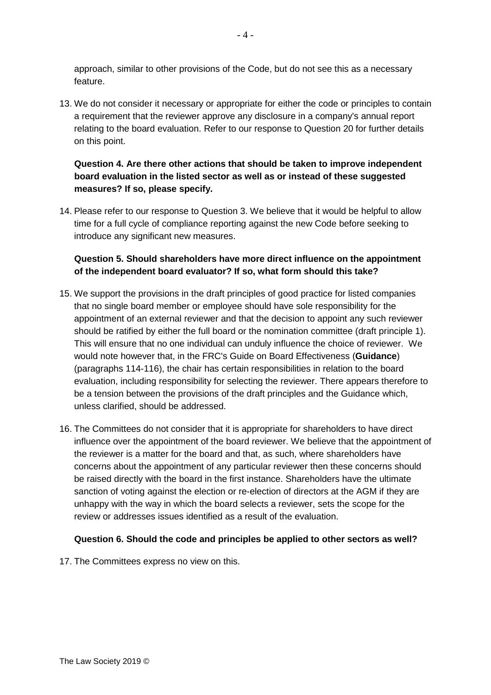approach, similar to other provisions of the Code, but do not see this as a necessary feature.

13. We do not consider it necessary or appropriate for either the code or principles to contain a requirement that the reviewer approve any disclosure in a company's annual report relating to the board evaluation. Refer to our response to Question 20 for further details on this point.

## **Question 4. Are there other actions that should be taken to improve independent board evaluation in the listed sector as well as or instead of these suggested measures? If so, please specify.**

14. Please refer to our response to Question 3. We believe that it would be helpful to allow time for a full cycle of compliance reporting against the new Code before seeking to introduce any significant new measures.

## **Question 5. Should shareholders have more direct influence on the appointment of the independent board evaluator? If so, what form should this take?**

- 15. We support the provisions in the draft principles of good practice for listed companies that no single board member or employee should have sole responsibility for the appointment of an external reviewer and that the decision to appoint any such reviewer should be ratified by either the full board or the nomination committee (draft principle 1). This will ensure that no one individual can unduly influence the choice of reviewer. We would note however that, in the FRC's Guide on Board Effectiveness (**Guidance**) (paragraphs 114-116), the chair has certain responsibilities in relation to the board evaluation, including responsibility for selecting the reviewer. There appears therefore to be a tension between the provisions of the draft principles and the Guidance which, unless clarified, should be addressed.
- 16. The Committees do not consider that it is appropriate for shareholders to have direct influence over the appointment of the board reviewer. We believe that the appointment of the reviewer is a matter for the board and that, as such, where shareholders have concerns about the appointment of any particular reviewer then these concerns should be raised directly with the board in the first instance. Shareholders have the ultimate sanction of voting against the election or re-election of directors at the AGM if they are unhappy with the way in which the board selects a reviewer, sets the scope for the review or addresses issues identified as a result of the evaluation.

#### **Question 6. Should the code and principles be applied to other sectors as well?**

17. The Committees express no view on this.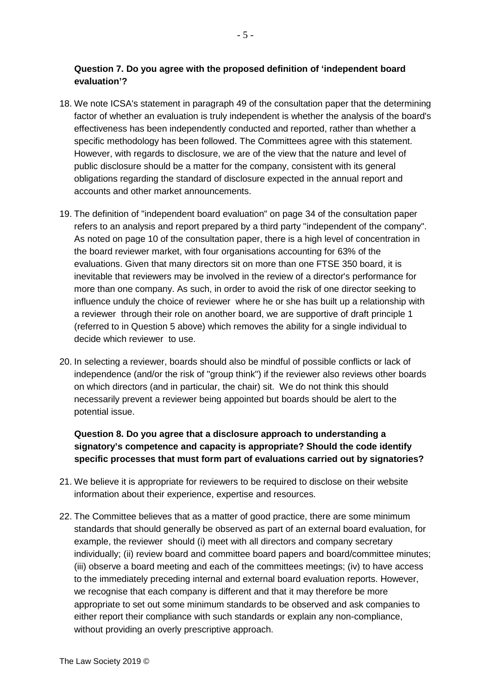#### **Question 7. Do you agree with the proposed definition of 'independent board evaluation'?**

- 18. We note ICSA's statement in paragraph 49 of the consultation paper that the determining factor of whether an evaluation is truly independent is whether the analysis of the board's effectiveness has been independently conducted and reported, rather than whether a specific methodology has been followed. The Committees agree with this statement. However, with regards to disclosure, we are of the view that the nature and level of public disclosure should be a matter for the company, consistent with its general obligations regarding the standard of disclosure expected in the annual report and accounts and other market announcements.
- 19. The definition of "independent board evaluation" on page 34 of the consultation paper refers to an analysis and report prepared by a third party "independent of the company". As noted on page 10 of the consultation paper, there is a high level of concentration in the board reviewer market, with four organisations accounting for 63% of the evaluations. Given that many directors sit on more than one FTSE 350 board, it is inevitable that reviewers may be involved in the review of a director's performance for more than one company. As such, in order to avoid the risk of one director seeking to influence unduly the choice of reviewer where he or she has built up a relationship with a reviewer through their role on another board, we are supportive of draft principle 1 (referred to in Question 5 above) which removes the ability for a single individual to decide which reviewer to use.
- 20. In selecting a reviewer, boards should also be mindful of possible conflicts or lack of independence (and/or the risk of "group think") if the reviewer also reviews other boards on which directors (and in particular, the chair) sit. We do not think this should necessarily prevent a reviewer being appointed but boards should be alert to the potential issue.

**Question 8. Do you agree that a disclosure approach to understanding a signatory's competence and capacity is appropriate? Should the code identify specific processes that must form part of evaluations carried out by signatories?** 

- 21. We believe it is appropriate for reviewers to be required to disclose on their website information about their experience, expertise and resources.
- 22. The Committee believes that as a matter of good practice, there are some minimum standards that should generally be observed as part of an external board evaluation, for example, the reviewer should (i) meet with all directors and company secretary individually; (ii) review board and committee board papers and board/committee minutes; (iii) observe a board meeting and each of the committees meetings; (iv) to have access to the immediately preceding internal and external board evaluation reports. However, we recognise that each company is different and that it may therefore be more appropriate to set out some minimum standards to be observed and ask companies to either report their compliance with such standards or explain any non-compliance, without providing an overly prescriptive approach.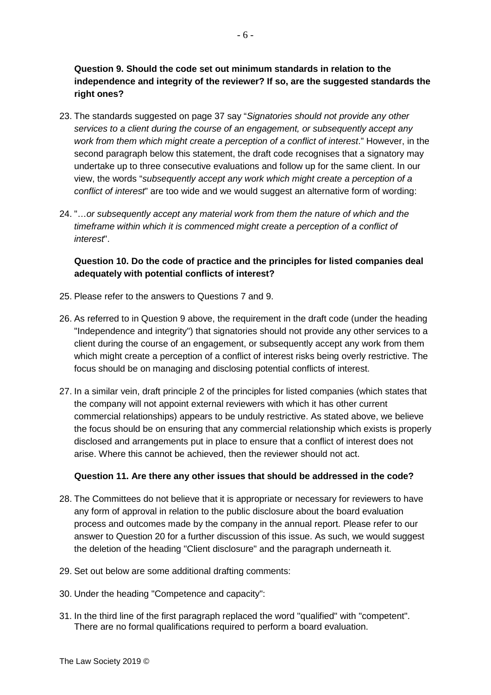**Question 9. Should the code set out minimum standards in relation to the independence and integrity of the reviewer? If so, are the suggested standards the right ones?** 

- 23. The standards suggested on page 37 say "*Signatories should not provide any other services to a client during the course of an engagement, or subsequently accept any work from them which might create a perception of a conflict of interest*." However, in the second paragraph below this statement, the draft code recognises that a signatory may undertake up to three consecutive evaluations and follow up for the same client. In our view, the words "*subsequently accept any work which might create a perception of a conflict of interest*" are too wide and we would suggest an alternative form of wording:
- 24. "…*or subsequently accept any material work from them the nature of which and the timeframe within which it is commenced might create a perception of a conflict of interest*".

## **Question 10. Do the code of practice and the principles for listed companies deal adequately with potential conflicts of interest?**

- 25. Please refer to the answers to Questions 7 and 9.
- 26. As referred to in Question 9 above, the requirement in the draft code (under the heading "Independence and integrity") that signatories should not provide any other services to a client during the course of an engagement, or subsequently accept any work from them which might create a perception of a conflict of interest risks being overly restrictive. The focus should be on managing and disclosing potential conflicts of interest.
- 27. In a similar vein, draft principle 2 of the principles for listed companies (which states that the company will not appoint external reviewers with which it has other current commercial relationships) appears to be unduly restrictive. As stated above, we believe the focus should be on ensuring that any commercial relationship which exists is properly disclosed and arrangements put in place to ensure that a conflict of interest does not arise. Where this cannot be achieved, then the reviewer should not act.

#### **Question 11. Are there any other issues that should be addressed in the code?**

- 28. The Committees do not believe that it is appropriate or necessary for reviewers to have any form of approval in relation to the public disclosure about the board evaluation process and outcomes made by the company in the annual report. Please refer to our answer to Question 20 for a further discussion of this issue. As such, we would suggest the deletion of the heading "Client disclosure" and the paragraph underneath it.
- 29. Set out below are some additional drafting comments:
- 30. Under the heading "Competence and capacity":
- 31. In the third line of the first paragraph replaced the word "qualified" with "competent". There are no formal qualifications required to perform a board evaluation.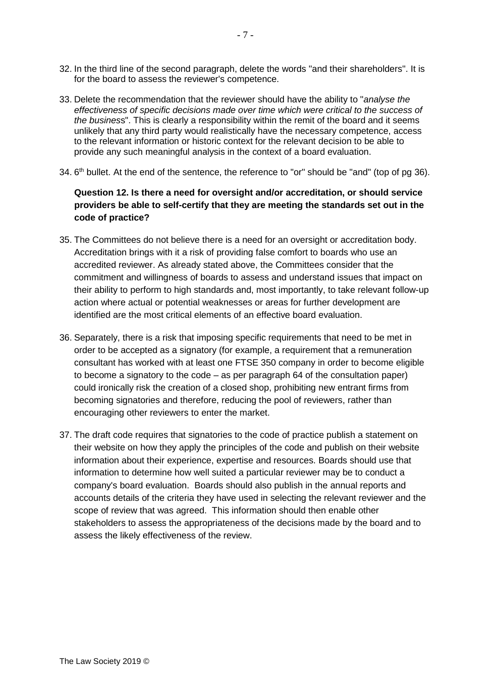- 32. In the third line of the second paragraph, delete the words "and their shareholders". It is for the board to assess the reviewer's competence.
- 33. Delete the recommendation that the reviewer should have the ability to "*analyse the effectiveness of specific decisions made over time which were critical to the success of the busines*s". This is clearly a responsibility within the remit of the board and it seems unlikely that any third party would realistically have the necessary competence, access to the relevant information or historic context for the relevant decision to be able to provide any such meaningful analysis in the context of a board evaluation.
- 34. 6<sup>th</sup> bullet. At the end of the sentence, the reference to "or" should be "and" (top of pg 36).

## **Question 12. Is there a need for oversight and/or accreditation, or should service providers be able to self-certify that they are meeting the standards set out in the code of practice?**

- 35. The Committees do not believe there is a need for an oversight or accreditation body. Accreditation brings with it a risk of providing false comfort to boards who use an accredited reviewer. As already stated above, the Committees consider that the commitment and willingness of boards to assess and understand issues that impact on their ability to perform to high standards and, most importantly, to take relevant follow-up action where actual or potential weaknesses or areas for further development are identified are the most critical elements of an effective board evaluation.
- 36. Separately, there is a risk that imposing specific requirements that need to be met in order to be accepted as a signatory (for example, a requirement that a remuneration consultant has worked with at least one FTSE 350 company in order to become eligible to become a signatory to the code – as per paragraph 64 of the consultation paper) could ironically risk the creation of a closed shop, prohibiting new entrant firms from becoming signatories and therefore, reducing the pool of reviewers, rather than encouraging other reviewers to enter the market.
- 37. The draft code requires that signatories to the code of practice publish a statement on their website on how they apply the principles of the code and publish on their website information about their experience, expertise and resources. Boards should use that information to determine how well suited a particular reviewer may be to conduct a company's board evaluation. Boards should also publish in the annual reports and accounts details of the criteria they have used in selecting the relevant reviewer and the scope of review that was agreed. This information should then enable other stakeholders to assess the appropriateness of the decisions made by the board and to assess the likely effectiveness of the review.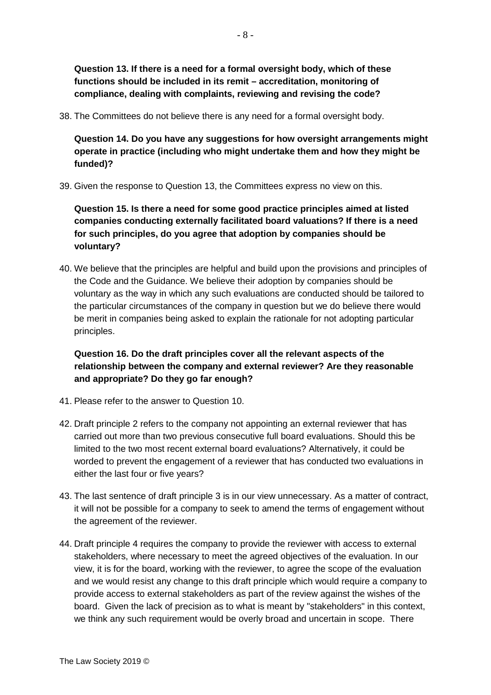**Question 13. If there is a need for a formal oversight body, which of these functions should be included in its remit – accreditation, monitoring of compliance, dealing with complaints, reviewing and revising the code?** 

38. The Committees do not believe there is any need for a formal oversight body.

**Question 14. Do you have any suggestions for how oversight arrangements might operate in practice (including who might undertake them and how they might be funded)?**

39. Given the response to Question 13, the Committees express no view on this.

**Question 15. Is there a need for some good practice principles aimed at listed companies conducting externally facilitated board valuations? If there is a need for such principles, do you agree that adoption by companies should be voluntary?** 

40. We believe that the principles are helpful and build upon the provisions and principles of the Code and the Guidance. We believe their adoption by companies should be voluntary as the way in which any such evaluations are conducted should be tailored to the particular circumstances of the company in question but we do believe there would be merit in companies being asked to explain the rationale for not adopting particular principles.

**Question 16. Do the draft principles cover all the relevant aspects of the relationship between the company and external reviewer? Are they reasonable and appropriate? Do they go far enough?** 

- 41. Please refer to the answer to Question 10.
- 42. Draft principle 2 refers to the company not appointing an external reviewer that has carried out more than two previous consecutive full board evaluations. Should this be limited to the two most recent external board evaluations? Alternatively, it could be worded to prevent the engagement of a reviewer that has conducted two evaluations in either the last four or five years?
- 43. The last sentence of draft principle 3 is in our view unnecessary. As a matter of contract, it will not be possible for a company to seek to amend the terms of engagement without the agreement of the reviewer.
- 44. Draft principle 4 requires the company to provide the reviewer with access to external stakeholders, where necessary to meet the agreed objectives of the evaluation. In our view, it is for the board, working with the reviewer, to agree the scope of the evaluation and we would resist any change to this draft principle which would require a company to provide access to external stakeholders as part of the review against the wishes of the board. Given the lack of precision as to what is meant by "stakeholders" in this context, we think any such requirement would be overly broad and uncertain in scope. There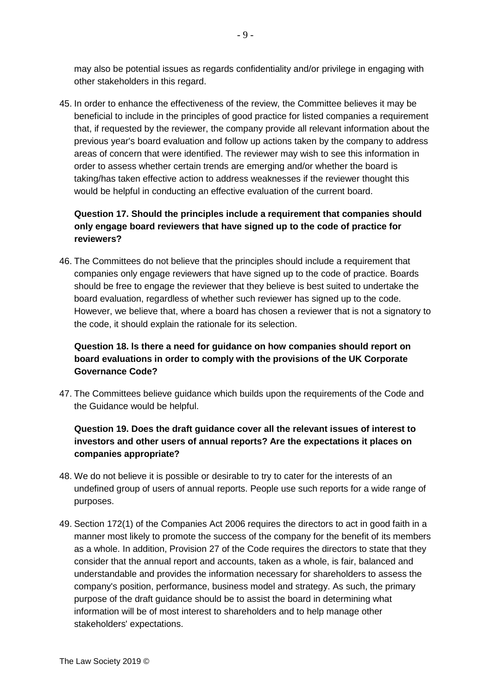may also be potential issues as regards confidentiality and/or privilege in engaging with other stakeholders in this regard.

45. In order to enhance the effectiveness of the review, the Committee believes it may be beneficial to include in the principles of good practice for listed companies a requirement that, if requested by the reviewer, the company provide all relevant information about the previous year's board evaluation and follow up actions taken by the company to address areas of concern that were identified. The reviewer may wish to see this information in order to assess whether certain trends are emerging and/or whether the board is taking/has taken effective action to address weaknesses if the reviewer thought this would be helpful in conducting an effective evaluation of the current board.

## **Question 17. Should the principles include a requirement that companies should only engage board reviewers that have signed up to the code of practice for reviewers?**

46. The Committees do not believe that the principles should include a requirement that companies only engage reviewers that have signed up to the code of practice. Boards should be free to engage the reviewer that they believe is best suited to undertake the board evaluation, regardless of whether such reviewer has signed up to the code. However, we believe that, where a board has chosen a reviewer that is not a signatory to the code, it should explain the rationale for its selection.

## **Question 18. ls there a need for guidance on how companies should report on board evaluations in order to comply with the provisions of the UK Corporate Governance Code?**

47. The Committees believe guidance which builds upon the requirements of the Code and the Guidance would be helpful.

# **Question 19. Does the draft guidance cover all the relevant issues of interest to investors and other users of annual reports? Are the expectations it places on companies appropriate?**

- 48. We do not believe it is possible or desirable to try to cater for the interests of an undefined group of users of annual reports. People use such reports for a wide range of purposes.
- 49. Section 172(1) of the Companies Act 2006 requires the directors to act in good faith in a manner most likely to promote the success of the company for the benefit of its members as a whole. In addition, Provision 27 of the Code requires the directors to state that they consider that the annual report and accounts, taken as a whole, is fair, balanced and understandable and provides the information necessary for shareholders to assess the company's position, performance, business model and strategy. As such, the primary purpose of the draft guidance should be to assist the board in determining what information will be of most interest to shareholders and to help manage other stakeholders' expectations.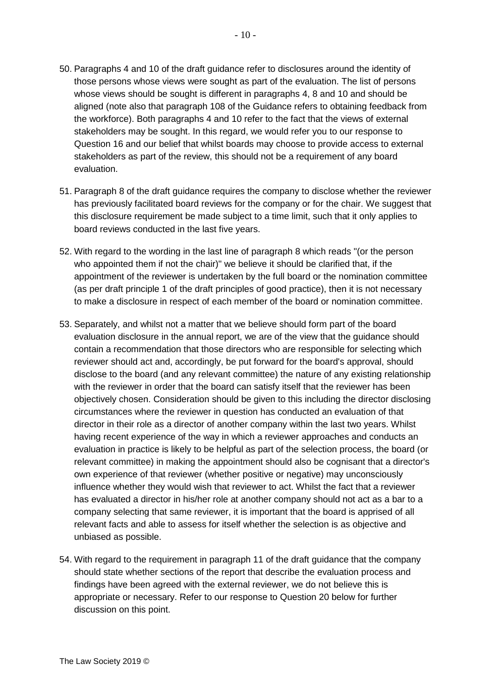- 50. Paragraphs 4 and 10 of the draft guidance refer to disclosures around the identity of those persons whose views were sought as part of the evaluation. The list of persons whose views should be sought is different in paragraphs 4, 8 and 10 and should be aligned (note also that paragraph 108 of the Guidance refers to obtaining feedback from the workforce). Both paragraphs 4 and 10 refer to the fact that the views of external stakeholders may be sought. In this regard, we would refer you to our response to Question 16 and our belief that whilst boards may choose to provide access to external stakeholders as part of the review, this should not be a requirement of any board evaluation.
- 51. Paragraph 8 of the draft guidance requires the company to disclose whether the reviewer has previously facilitated board reviews for the company or for the chair. We suggest that this disclosure requirement be made subject to a time limit, such that it only applies to board reviews conducted in the last five years.
- 52. With regard to the wording in the last line of paragraph 8 which reads "(or the person who appointed them if not the chair)" we believe it should be clarified that, if the appointment of the reviewer is undertaken by the full board or the nomination committee (as per draft principle 1 of the draft principles of good practice), then it is not necessary to make a disclosure in respect of each member of the board or nomination committee.
- 53. Separately, and whilst not a matter that we believe should form part of the board evaluation disclosure in the annual report, we are of the view that the guidance should contain a recommendation that those directors who are responsible for selecting which reviewer should act and, accordingly, be put forward for the board's approval, should disclose to the board (and any relevant committee) the nature of any existing relationship with the reviewer in order that the board can satisfy itself that the reviewer has been objectively chosen. Consideration should be given to this including the director disclosing circumstances where the reviewer in question has conducted an evaluation of that director in their role as a director of another company within the last two years. Whilst having recent experience of the way in which a reviewer approaches and conducts an evaluation in practice is likely to be helpful as part of the selection process, the board (or relevant committee) in making the appointment should also be cognisant that a director's own experience of that reviewer (whether positive or negative) may unconsciously influence whether they would wish that reviewer to act. Whilst the fact that a reviewer has evaluated a director in his/her role at another company should not act as a bar to a company selecting that same reviewer, it is important that the board is apprised of all relevant facts and able to assess for itself whether the selection is as objective and unbiased as possible.
- 54. With regard to the requirement in paragraph 11 of the draft guidance that the company should state whether sections of the report that describe the evaluation process and findings have been agreed with the external reviewer, we do not believe this is appropriate or necessary. Refer to our response to Question 20 below for further discussion on this point.